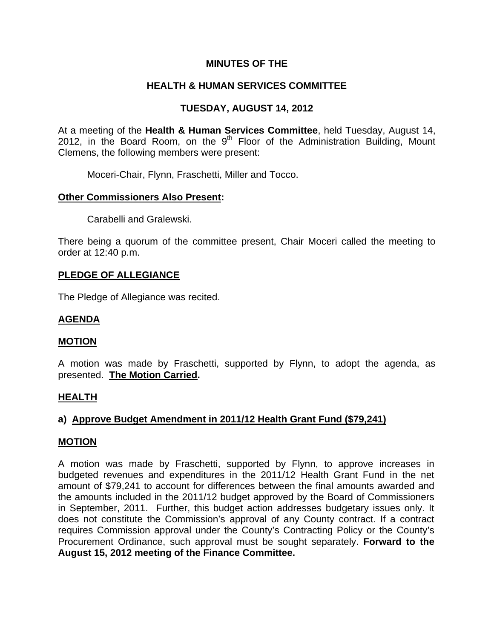# **MINUTES OF THE**

# **HEALTH & HUMAN SERVICES COMMITTEE**

# **TUESDAY, AUGUST 14, 2012**

At a meeting of the **Health & Human Services Committee**, held Tuesday, August 14, 2012, in the Board Room, on the  $9<sup>th</sup>$  Floor of the Administration Building, Mount Clemens, the following members were present:

Moceri-Chair, Flynn, Fraschetti, Miller and Tocco.

# **Other Commissioners Also Present:**

Carabelli and Gralewski.

There being a quorum of the committee present, Chair Moceri called the meeting to order at 12:40 p.m.

# **PLEDGE OF ALLEGIANCE**

The Pledge of Allegiance was recited.

# **AGENDA**

### **MOTION**

A motion was made by Fraschetti, supported by Flynn, to adopt the agenda, as presented. **The Motion Carried.** 

### **HEALTH**

# **a) Approve Budget Amendment in 2011/12 Health Grant Fund (\$79,241)**

### **MOTION**

A motion was made by Fraschetti, supported by Flynn, to approve increases in budgeted revenues and expenditures in the 2011/12 Health Grant Fund in the net amount of \$79,241 to account for differences between the final amounts awarded and the amounts included in the 2011/12 budget approved by the Board of Commissioners in September, 2011. Further, this budget action addresses budgetary issues only. It does not constitute the Commission's approval of any County contract. If a contract requires Commission approval under the County's Contracting Policy or the County's Procurement Ordinance, such approval must be sought separately. **Forward to the August 15, 2012 meeting of the Finance Committee.**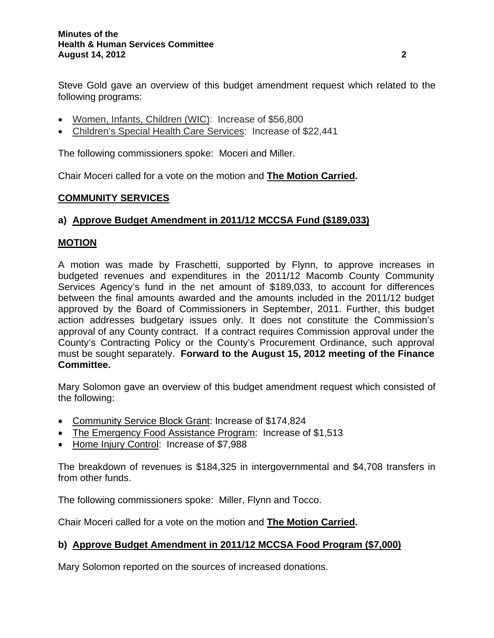Steve Gold gave an overview of this budget amendment request which related to the following programs:

- Women, Infants, Children (WIC): Increase of \$56,800
- Children's Special Health Care Services: Increase of \$22,441

The following commissioners spoke: Moceri and Miller.

Chair Moceri called for a vote on the motion and **The Motion Carried.** 

# **COMMUNITY SERVICES**

# **a) Approve Budget Amendment in 2011/12 MCCSA Fund (\$189,033)**

# **MOTION**

A motion was made by Fraschetti, supported by Flynn, to approve increases in budgeted revenues and expenditures in the 2011/12 Macomb County Community Services Agency's fund in the net amount of \$189,033, to account for differences between the final amounts awarded and the amounts included in the 2011/12 budget approved by the Board of Commissioners in September, 2011. Further, this budget action addresses budgetary issues only. It does not constitute the Commission's approval of any County contract. If a contract requires Commission approval under the County's Contracting Policy or the County's Procurement Ordinance, such approval must be sought separately. **Forward to the August 15, 2012 meeting of the Finance Committee.** 

Mary Solomon gave an overview of this budget amendment request which consisted of the following:

- Community Service Block Grant: Increase of \$174,824
- The Emergency Food Assistance Program: Increase of \$1,513
- Home Injury Control: Increase of \$7,988

The breakdown of revenues is \$184,325 in intergovernmental and \$4,708 transfers in from other funds.

The following commissioners spoke: Miller, Flynn and Tocco.

Chair Moceri called for a vote on the motion and **The Motion Carried.** 

# **b) Approve Budget Amendment in 2011/12 MCCSA Food Program (\$7,000)**

Mary Solomon reported on the sources of increased donations.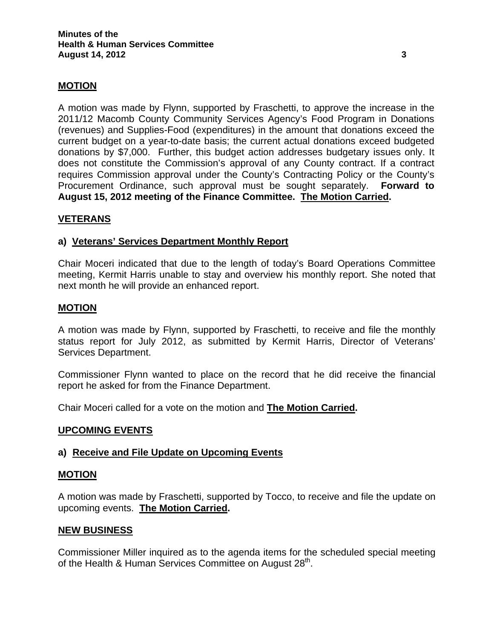# **MOTION**

A motion was made by Flynn, supported by Fraschetti, to approve the increase in the 2011/12 Macomb County Community Services Agency's Food Program in Donations (revenues) and Supplies-Food (expenditures) in the amount that donations exceed the current budget on a year-to-date basis; the current actual donations exceed budgeted donations by \$7,000. Further, this budget action addresses budgetary issues only. It does not constitute the Commission's approval of any County contract. If a contract requires Commission approval under the County's Contracting Policy or the County's Procurement Ordinance, such approval must be sought separately. **Forward to August 15, 2012 meeting of the Finance Committee. The Motion Carried.** 

# **VETERANS**

### **a) Veterans' Services Department Monthly Report**

Chair Moceri indicated that due to the length of today's Board Operations Committee meeting, Kermit Harris unable to stay and overview his monthly report. She noted that next month he will provide an enhanced report.

### **MOTION**

A motion was made by Flynn, supported by Fraschetti, to receive and file the monthly status report for July 2012, as submitted by Kermit Harris, Director of Veterans' Services Department.

Commissioner Flynn wanted to place on the record that he did receive the financial report he asked for from the Finance Department.

Chair Moceri called for a vote on the motion and **The Motion Carried.** 

#### **UPCOMING EVENTS**

### **a) Receive and File Update on Upcoming Events**

#### **MOTION**

A motion was made by Fraschetti, supported by Tocco, to receive and file the update on upcoming events. **The Motion Carried.** 

#### **NEW BUSINESS**

Commissioner Miller inquired as to the agenda items for the scheduled special meeting of the Health & Human Services Committee on August 28<sup>th</sup>.